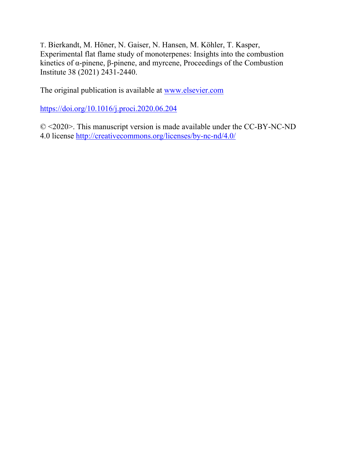T. Bierkandt, M. Höner, N. Gaiser, N. Hansen, M. Köhler, T. Kasper, Experimental flat flame study of monoterpenes: Insights into the combustion kinetics of α-pinene, β-pinene, and myrcene, Proceedings of the Combustion Institute 38 (2021) 2431-2440.

The original publication is available at www.elsevier.com

https://doi.org/10.1016/j.proci.2020.06.204

© <2020>. This manuscript version is made available under the CC-BY-NC-ND 4.0 license http://creativecommons.org/licenses/by-nc-nd/4.0/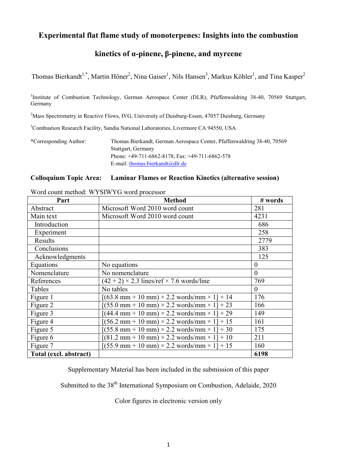# Experimental flat flame study of monoterpenes: Insights into the combustion

# kinetics of α-pinene, β-pinene, and myrcene

Thomas Bierkandt<sup>1,\*</sup>, Martin Höner<sup>2</sup>, Nina Gaiser<sup>1</sup>, Nils Hansen<sup>3</sup>, Markus Köhler<sup>1</sup>, and Tina Kasper<sup>2</sup>

<sup>1</sup>Institute of Combustion Technology, German Aerospace Center (DLR), Pfaffenwaldring 38-40, 70569 Stuttgart, Germany

 $^{2}$ Mass Spectrometry in Reactive Flows, IVG, University of Duisburg-Essen, 47057 Duisburg, Germany

<sup>3</sup>Combustion Research Facility, Sandia National Laboratories, Livermore CA 94550, USA

\*Corresponding Author: Thomas Bierkandt, German Aerospace Center, Pfaffenwaldring 38-40, 70569 Stuttgart, Germany Phone: +49-711-6862-8178, Fax: +49-711-6862-578 E-mail: thomas.bierkandt@dlr.de

#### Colloquium Topic Area: Laminar Flames or Reaction Kinetics (alternative session)

Part Nethod # words Abstract Microsoft Word 2010 word count 281 Main text Microsoft Word 2010 word count 14231 Introduction and the set of the set of the set of the set of the set of the set of the set of the set of the set of the set of the set of the set of the set of the set of the set of the set of the set of the set of the set Experiment 258 Results 2779 Conclusions 383 Acknowledgments 125 Equations  $\vert$  No equations  $\vert$  0 Nomenclature No nomenclature  $\vert 0 \rangle$ References  $(42 + 2) \times 2.3$  lines/ref  $\times$  7.6 words/line 769 Tables No tables 0 Figure 1  $[(63.8 \text{ mm} + 10 \text{ mm}) \times 2.2 \text{ words/mm} \times 1] + 14$  176 Figure 2  $[(55.0 \text{ mm} + 10 \text{ mm}) \times 2.2 \text{ words/mm} \times 1] + 23$  166 Figure 3  $[(44.4 \text{ mm} + 10 \text{ mm}) \times 2.2 \text{ words/mm} \times 1] + 29$  149 Figure 4  $[(56.2 \text{ mm} + 10 \text{ mm}) \times 2.2 \text{ words/mm} \times 1] + 15$  161 Figure 5  $[(55.8 \text{ mm} + 10 \text{ mm}) \times 2.2 \text{ words/mm} \times 1] + 30$  175 Figure 6  $[(81.2 \text{ mm} + 10 \text{ mm}) \times 2.2 \text{ words/mm} \times 1] + 10$  211 Figure 7  $[(55.9 \text{ mm} + 10 \text{ mm}) \times 2.2 \text{ words/mm} \times 1] + 15$  160 Total (excl. abstract) 6198

Word count method: WYSIWYG word processor

Supplementary Material has been included in the submission of this paper

Submitted to the 38<sup>th</sup> International Symposium on Combustion, Adelaide, 2020

Color figures in electronic version only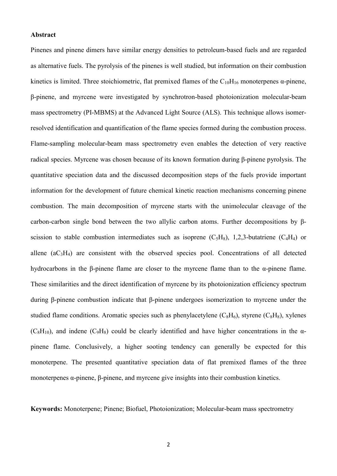#### Abstract

Pinenes and pinene dimers have similar energy densities to petroleum-based fuels and are regarded as alternative fuels. The pyrolysis of the pinenes is well studied, but information on their combustion kinetics is limited. Three stoichiometric, flat premixed flames of the  $C_{10}H_{16}$  monoterpenes  $\alpha$ -pinene, β-pinene, and myrcene were investigated by synchrotron-based photoionization molecular-beam mass spectrometry (PI-MBMS) at the Advanced Light Source (ALS). This technique allows isomerresolved identification and quantification of the flame species formed during the combustion process. Flame-sampling molecular-beam mass spectrometry even enables the detection of very reactive radical species. Myrcene was chosen because of its known formation during β-pinene pyrolysis. The quantitative speciation data and the discussed decomposition steps of the fuels provide important information for the development of future chemical kinetic reaction mechanisms concerning pinene combustion. The main decomposition of myrcene starts with the unimolecular cleavage of the carbon-carbon single bond between the two allylic carbon atoms. Further decompositions by βscission to stable combustion intermediates such as isoprene  $(C_5H_8)$ , 1,2,3-butatriene  $(C_4H_4)$  or allene  $(aC_3H_4)$  are consistent with the observed species pool. Concentrations of all detected hydrocarbons in the β-pinene flame are closer to the myrcene flame than to the α-pinene flame. These similarities and the direct identification of myrcene by its photoionization efficiency spectrum during β-pinene combustion indicate that β-pinene undergoes isomerization to myrcene under the studied flame conditions. Aromatic species such as phenylacetylene  $(C_8H_6)$ , styrene  $(C_8H_8)$ , xylenes  $(C_8H_{10})$ , and indene  $(C_9H_8)$  could be clearly identified and have higher concentrations in the  $\alpha$ pinene flame. Conclusively, a higher sooting tendency can generally be expected for this monoterpene. The presented quantitative speciation data of flat premixed flames of the three monoterpenes α-pinene, β-pinene, and myrcene give insights into their combustion kinetics.

Keywords: Monoterpene; Pinene; Biofuel, Photoionization; Molecular-beam mass spectrometry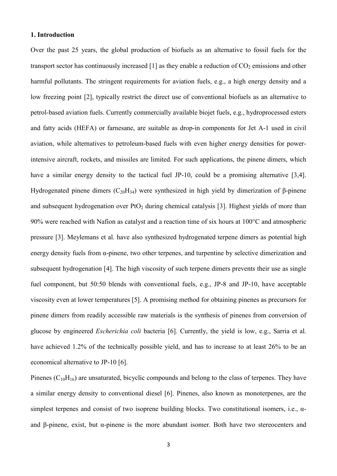#### 1. Introduction

Over the past 25 years, the global production of biofuels as an alternative to fossil fuels for the transport sector has continuously increased [1] as they enable a reduction of  $CO<sub>2</sub>$  emissions and other harmful pollutants. The stringent requirements for aviation fuels, e.g., a high energy density and a low freezing point [2], typically restrict the direct use of conventional biofuels as an alternative to petrol-based aviation fuels. Currently commercially available biojet fuels, e.g., hydroprocessed esters and fatty acids (HEFA) or farnesane, are suitable as drop-in components for Jet A-1 used in civil aviation, while alternatives to petroleum-based fuels with even higher energy densities for powerintensive aircraft, rockets, and missiles are limited. For such applications, the pinene dimers, which have a similar energy density to the tactical fuel JP-10, could be a promising alternative [3,4]. Hydrogenated pinene dimers  $(C_{20}H_{34})$  were synthesized in high yield by dimerization of β-pinene and subsequent hydrogenation over  $P_1O_2$  during chemical catalysis [3]. Highest yields of more than 90% were reached with Nafion as catalyst and a reaction time of six hours at 100°C and atmospheric pressure [3]. Meylemans et al. have also synthesized hydrogenated terpene dimers as potential high energy density fuels from  $\alpha$ -pinene, two other terpenes, and turpentine by selective dimerization and subsequent hydrogenation [4]. The high viscosity of such terpene dimers prevents their use as single fuel component, but 50:50 blends with conventional fuels, e.g., JP-8 and JP-10, have acceptable viscosity even at lower temperatures [5]. A promising method for obtaining pinenes as precursors for pinene dimers from readily accessible raw materials is the synthesis of pinenes from conversion of glucose by engineered *Escherichia coli* bacteria [6]. Currently, the yield is low, e.g., Sarria et al. have achieved 1.2% of the technically possible yield, and has to increase to at least 26% to be an economical alternative to JP-10 [6].

Pinenes  $(C_{10}H_{16})$  are unsaturated, bicyclic compounds and belong to the class of terpenes. They have a similar energy density to conventional diesel [6]. Pinenes, also known as monoterpenes, are the simplest terpenes and consist of two isoprene building blocks. Two constitutional isomers, i.e., αand β-pinene, exist, but α-pinene is the more abundant isomer. Both have two stereocenters and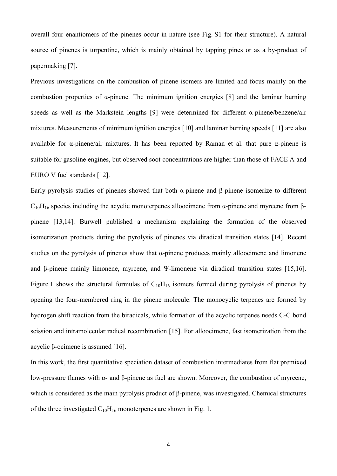overall four enantiomers of the pinenes occur in nature (see Fig. S1 for their structure). A natural source of pinenes is turpentine, which is mainly obtained by tapping pines or as a by-product of papermaking [7].

Previous investigations on the combustion of pinene isomers are limited and focus mainly on the combustion properties of α-pinene. The minimum ignition energies [8] and the laminar burning speeds as well as the Markstein lengths [9] were determined for different α-pinene/benzene/air mixtures. Measurements of minimum ignition energies [10] and laminar burning speeds [11] are also available for  $\alpha$ -pinene/air mixtures. It has been reported by Raman et al. that pure  $\alpha$ -pinene is suitable for gasoline engines, but observed soot concentrations are higher than those of FACE A and EURO V fuel standards [12].

Early pyrolysis studies of pinenes showed that both α-pinene and β-pinene isomerize to different  $C_{10}H_{16}$  species including the acyclic monoterpenes alloocimene from α-pinene and myrcene from βpinene [13,14]. Burwell published a mechanism explaining the formation of the observed isomerization products during the pyrolysis of pinenes via diradical transition states [14]. Recent studies on the pyrolysis of pinenes show that  $\alpha$ -pinene produces mainly alloocimene and limonene and β-pinene mainly limonene, myrcene, and Ψ-limonene via diradical transition states [15,16]. Figure 1 shows the structural formulas of  $C_{10}H_{16}$  isomers formed during pyrolysis of pinenes by opening the four-membered ring in the pinene molecule. The monocyclic terpenes are formed by hydrogen shift reaction from the biradicals, while formation of the acyclic terpenes needs C-C bond scission and intramolecular radical recombination [15]. For alloocimene, fast isomerization from the acyclic β-ocimene is assumed [16].

In this work, the first quantitative speciation dataset of combustion intermediates from flat premixed low-pressure flames with α- and β-pinene as fuel are shown. Moreover, the combustion of myrcene, which is considered as the main pyrolysis product of β-pinene, was investigated. Chemical structures of the three investigated  $C_{10}H_{16}$  monoterpenes are shown in Fig. 1.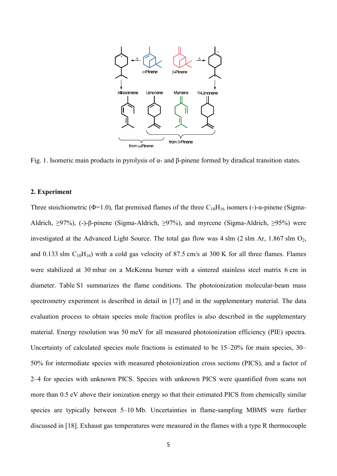

Fig. 1. Isomeric main products in pyrolysis of  $\alpha$ - and β-pinene formed by diradical transition states.

#### 2. Experiment

Three stoichiometric ( $\Phi$ =1.0), flat premixed flames of the three C<sub>10</sub>H<sub>16</sub> isomers (-)- $\alpha$ -pinene (Sigma-Aldrich, ≥97%), (-)-β-pinene (Sigma-Aldrich, ≥97%), and myrcene (Sigma-Aldrich, ≥95%) were investigated at the Advanced Light Source. The total gas flow was  $4 \sin (2 \sin Ar, 1.867 \sin O<sub>2</sub>)$ , and 0.133 slm  $C_{10}H_{16}$ ) with a cold gas velocity of 87.5 cm/s at 300 K for all three flames. Flames were stabilized at 30 mbar on a McKenna burner with a sintered stainless steel matrix 6 cm in diameter. Table S1 summarizes the flame conditions. The photoionization molecular-beam mass spectrometry experiment is described in detail in [17] and in the supplementary material. The data evaluation process to obtain species mole fraction profiles is also described in the supplementary material. Energy resolution was 50 meV for all measured photoionization efficiency (PIE) spectra. Uncertainty of calculated species mole fractions is estimated to be 15–20% for main species, 30– 50% for intermediate species with measured photoionization cross sections (PICS), and a factor of 2–4 for species with unknown PICS. Species with unknown PICS were quantified from scans not more than 0.5 eV above their ionization energy so that their estimated PICS from chemically similar species are typically between 5–10 Mb. Uncertainties in flame-sampling MBMS were further discussed in [18]. Exhaust gas temperatures were measured in the flames with a type R thermocouple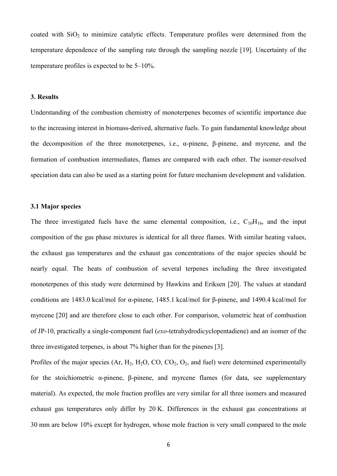coated with  $SiO<sub>2</sub>$  to minimize catalytic effects. Temperature profiles were determined from the temperature dependence of the sampling rate through the sampling nozzle [19]. Uncertainty of the temperature profiles is expected to be 5–10%.

#### 3. Results

Understanding of the combustion chemistry of monoterpenes becomes of scientific importance due to the increasing interest in biomass-derived, alternative fuels. To gain fundamental knowledge about the decomposition of the three monoterpenes, i.e., α-pinene, β-pinene, and myrcene, and the formation of combustion intermediates, flames are compared with each other. The isomer-resolved speciation data can also be used as a starting point for future mechanism development and validation.

#### 3.1 Major species

The three investigated fuels have the same elemental composition, i.e.,  $C_{10}H_{16}$ , and the input composition of the gas phase mixtures is identical for all three flames. With similar heating values, the exhaust gas temperatures and the exhaust gas concentrations of the major species should be nearly equal. The heats of combustion of several terpenes including the three investigated monoterpenes of this study were determined by Hawkins and Eriksen [20]. The values at standard conditions are 1483.0 kcal/mol for α-pinene, 1485.1 kcal/mol for β-pinene, and 1490.4 kcal/mol for myrcene [20] and are therefore close to each other. For comparison, volumetric heat of combustion of JP-10, practically a single-component fuel (*exo*-tetrahydrodicyclopentadiene) and an isomer of the three investigated terpenes, is about 7% higher than for the pinenes [3].

Profiles of the major species  $(Ar, H_2, H_2O, CO, CO_2, O_2, and fuel)$  were determined experimentally for the stoichiometric α-pinene, β-pinene, and myrcene flames (for data, see supplementary material). As expected, the mole fraction profiles are very similar for all three isomers and measured exhaust gas temperatures only differ by 20 K. Differences in the exhaust gas concentrations at 30 mm are below 10% except for hydrogen, whose mole fraction is very small compared to the mole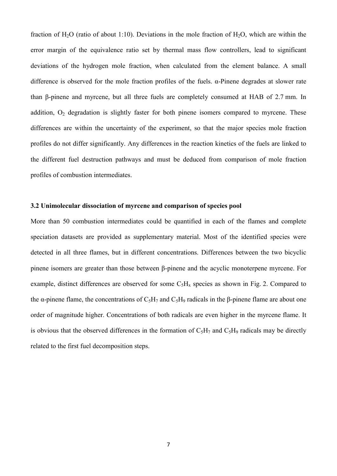fraction of H<sub>2</sub>O (ratio of about 1:10). Deviations in the mole fraction of H<sub>2</sub>O, which are within the error margin of the equivalence ratio set by thermal mass flow controllers, lead to significant deviations of the hydrogen mole fraction, when calculated from the element balance. A small difference is observed for the mole fraction profiles of the fuels. α-Pinene degrades at slower rate than β-pinene and myrcene, but all three fuels are completely consumed at HAB of 2.7 mm. In addition,  $O<sub>2</sub>$  degradation is slightly faster for both pinene isomers compared to myrcene. These differences are within the uncertainty of the experiment, so that the major species mole fraction profiles do not differ significantly. Any differences in the reaction kinetics of the fuels are linked to the different fuel destruction pathways and must be deduced from comparison of mole fraction profiles of combustion intermediates.

## 3.2 Unimolecular dissociation of myrcene and comparison of species pool

More than 50 combustion intermediates could be quantified in each of the flames and complete speciation datasets are provided as supplementary material. Most of the identified species were detected in all three flames, but in different concentrations. Differences between the two bicyclic pinene isomers are greater than those between β-pinene and the acyclic monoterpene myrcene. For example, distinct differences are observed for some  $C_5H_x$  species as shown in Fig. 2. Compared to the  $\alpha$ -pinene flame, the concentrations of C<sub>5</sub>H<sub>7</sub> and C<sub>5</sub>H<sub>9</sub> radicals in the β-pinene flame are about one order of magnitude higher. Concentrations of both radicals are even higher in the myrcene flame. It is obvious that the observed differences in the formation of  $C_5H_7$  and  $C_5H_9$  radicals may be directly related to the first fuel decomposition steps.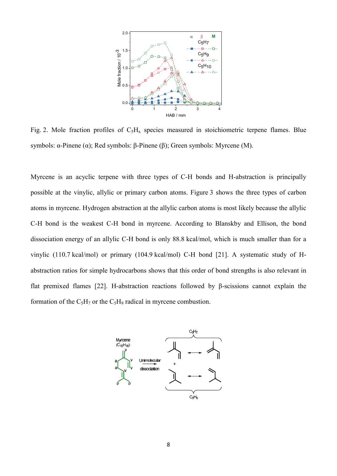

Fig. 2. Mole fraction profiles of  $C_5H_x$  species measured in stoichiometric terpene flames. Blue symbols: α-Pinene (α); Red symbols: β-Pinene (β); Green symbols: Myrcene (M).

Myrcene is an acyclic terpene with three types of C-H bonds and H-abstraction is principally possible at the vinylic, allylic or primary carbon atoms. Figure 3 shows the three types of carbon atoms in myrcene. Hydrogen abstraction at the allylic carbon atoms is most likely because the allylic C-H bond is the weakest C-H bond in myrcene. According to Blanskby and Ellison, the bond dissociation energy of an allylic C-H bond is only 88.8 kcal/mol, which is much smaller than for a vinylic (110.7 kcal/mol) or primary (104.9 kcal/mol) C-H bond [21]. A systematic study of Habstraction ratios for simple hydrocarbons shows that this order of bond strengths is also relevant in flat premixed flames [22]. H-abstraction reactions followed by β-scissions cannot explain the formation of the  $C_5H_7$  or the  $C_5H_9$  radical in myrcene combustion.

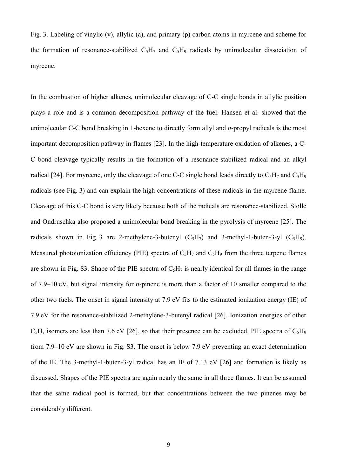Fig. 3. Labeling of vinylic (v), allylic (a), and primary (p) carbon atoms in myrcene and scheme for the formation of resonance-stabilized  $C_5H_7$  and  $C_5H_9$  radicals by unimolecular dissociation of myrcene.

In the combustion of higher alkenes, unimolecular cleavage of C-C single bonds in allylic position plays a role and is a common decomposition pathway of the fuel. Hansen et al. showed that the unimolecular C-C bond breaking in 1-hexene to directly form allyl and *n*-propyl radicals is the most important decomposition pathway in flames [23]. In the high-temperature oxidation of alkenes, a C-C bond cleavage typically results in the formation of a resonance-stabilized radical and an alkyl radical [24]. For myrcene, only the cleavage of one C-C single bond leads directly to  $C_5H_7$  and  $C_5H_9$ radicals (see Fig. 3) and can explain the high concentrations of these radicals in the myrcene flame. Cleavage of this C-C bond is very likely because both of the radicals are resonance-stabilized. Stolle and Ondruschka also proposed a unimolecular bond breaking in the pyrolysis of myrcene [25]. The radicals shown in Fig. 3 are 2-methylene-3-butenyl  $(C_5H_7)$  and 3-methyl-1-buten-3-yl  $(C_5H_9)$ . Measured photoionization efficiency (PIE) spectra of  $C_5H_7$  and  $C_5H_9$  from the three terpene flames are shown in Fig. S3. Shape of the PIE spectra of  $C_5H_7$  is nearly identical for all flames in the range of 7.9–10 eV, but signal intensity for α-pinene is more than a factor of 10 smaller compared to the other two fuels. The onset in signal intensity at 7.9 eV fits to the estimated ionization energy (IE) of 7.9 eV for the resonance-stabilized 2-methylene-3-butenyl radical [26]. Ionization energies of other  $C_5H_7$  isomers are less than 7.6 eV [26], so that their presence can be excluded. PIE spectra of  $C_5H_9$ from 7.9–10 eV are shown in Fig. S3. The onset is below 7.9 eV preventing an exact determination of the IE. The 3-methyl-1-buten-3-yl radical has an IE of 7.13 eV [26] and formation is likely as discussed. Shapes of the PIE spectra are again nearly the same in all three flames. It can be assumed that the same radical pool is formed, but that concentrations between the two pinenes may be considerably different.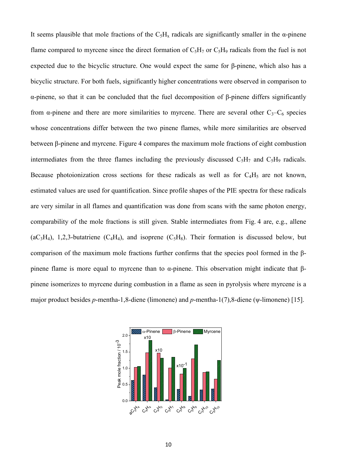It seems plausible that mole fractions of the  $C_5H_x$  radicals are significantly smaller in the  $\alpha$ -pinene flame compared to myrcene since the direct formation of  $C_5H_7$  or  $C_5H_9$  radicals from the fuel is not expected due to the bicyclic structure. One would expect the same for β-pinene, which also has a bicyclic structure. For both fuels, significantly higher concentrations were observed in comparison to α-pinene, so that it can be concluded that the fuel decomposition of β-pinene differs significantly from  $\alpha$ -pinene and there are more similarities to myrcene. There are several other  $C_3-C_6$  species whose concentrations differ between the two pinene flames, while more similarities are observed between β-pinene and myrcene. Figure 4 compares the maximum mole fractions of eight combustion intermediates from the three flames including the previously discussed  $C_5H_7$  and  $C_5H_9$  radicals. Because photoionization cross sections for these radicals as well as for  $C_4H_5$  are not known, estimated values are used for quantification. Since profile shapes of the PIE spectra for these radicals are very similar in all flames and quantification was done from scans with the same photon energy, comparability of the mole fractions is still given. Stable intermediates from Fig. 4 are, e.g., allene  $(aC_3H_4)$ , 1,2,3-butatriene  $(C_4H_4)$ , and isoprene  $(C_5H_8)$ . Their formation is discussed below, but comparison of the maximum mole fractions further confirms that the species pool formed in the βpinene flame is more equal to myrcene than to α-pinene. This observation might indicate that βpinene isomerizes to myrcene during combustion in a flame as seen in pyrolysis where myrcene is a major product besides *p*-mentha-1,8-diene (limonene) and *p*-mentha-1(7),8-diene (ψ-limonene) [15].

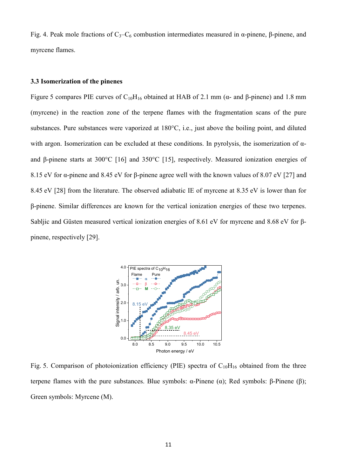Fig. 4. Peak mole fractions of  $C_3-C_6$  combustion intermediates measured in α-pinene, β-pinene, and myrcene flames.

#### 3.3 Isomerization of the pinenes

Figure 5 compares PIE curves of C<sub>10</sub>H<sub>16</sub> obtained at HAB of 2.1 mm (α- and β-pinene) and 1.8 mm (myrcene) in the reaction zone of the terpene flames with the fragmentation scans of the pure substances. Pure substances were vaporized at 180°C, i.e., just above the boiling point, and diluted with argon. Isomerization can be excluded at these conditions. In pyrolysis, the isomerization of αand β-pinene starts at 300°C [16] and 350°C [15], respectively. Measured ionization energies of 8.15 eV for α-pinene and 8.45 eV for β-pinene agree well with the known values of 8.07 eV [27] and 8.45 eV [28] from the literature. The observed adiabatic IE of myrcene at 8.35 eV is lower than for β-pinene. Similar differences are known for the vertical ionization energies of these two terpenes. Sabljic and Güsten measured vertical ionization energies of 8.61 eV for myrcene and 8.68 eV for βpinene, respectively [29].



Fig. 5. Comparison of photoionization efficiency (PIE) spectra of  $C_{10}H_{16}$  obtained from the three terpene flames with the pure substances. Blue symbols: α-Pinene (α); Red symbols: β-Pinene (β); Green symbols: Myrcene (M).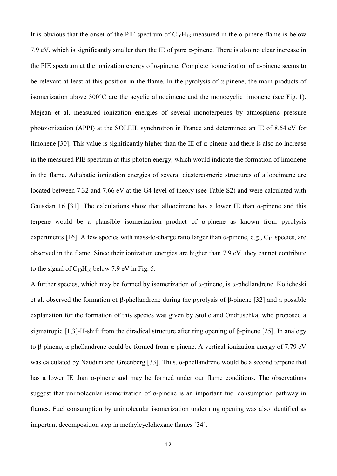It is obvious that the onset of the PIE spectrum of  $C_{10}H_{16}$  measured in the  $\alpha$ -pinene flame is below 7.9 eV, which is significantly smaller than the IE of pure α-pinene. There is also no clear increase in the PIE spectrum at the ionization energy of  $\alpha$ -pinene. Complete isomerization of  $\alpha$ -pinene seems to be relevant at least at this position in the flame. In the pyrolysis of α-pinene, the main products of isomerization above 300°C are the acyclic alloocimene and the monocyclic limonene (see Fig. 1). Méjean et al. measured ionization energies of several monoterpenes by atmospheric pressure photoionization (APPI) at the SOLEIL synchrotron in France and determined an IE of 8.54 eV for limonene [30]. This value is significantly higher than the IE of  $\alpha$ -pinene and there is also no increase in the measured PIE spectrum at this photon energy, which would indicate the formation of limonene in the flame. Adiabatic ionization energies of several diastereomeric structures of alloocimene are located between 7.32 and 7.66 eV at the G4 level of theory (see Table S2) and were calculated with Gaussian 16 [31]. The calculations show that alloocimene has a lower IE than  $\alpha$ -pinene and this terpene would be a plausible isomerization product of α-pinene as known from pyrolysis experiments [16]. A few species with mass-to-charge ratio larger than  $\alpha$ -pinene, e.g., C<sub>11</sub> species, are observed in the flame. Since their ionization energies are higher than 7.9 eV, they cannot contribute to the signal of  $C_{10}H_{16}$  below 7.9 eV in Fig. 5.

A further species, which may be formed by isomerization of  $\alpha$ -pinene, is  $\alpha$ -phellandrene. Kolicheski et al. observed the formation of β-phellandrene during the pyrolysis of β-pinene [32] and a possible explanation for the formation of this species was given by Stolle and Ondruschka, who proposed a sigmatropic [1,3]-H-shift from the diradical structure after ring opening of β-pinene [25]. In analogy to β-pinene, α-phellandrene could be formed from α-pinene. A vertical ionization energy of 7.79 eV was calculated by Nauduri and Greenberg [33]. Thus, α-phellandrene would be a second terpene that has a lower IE than α-pinene and may be formed under our flame conditions. The observations suggest that unimolecular isomerization of α-pinene is an important fuel consumption pathway in flames. Fuel consumption by unimolecular isomerization under ring opening was also identified as important decomposition step in methylcyclohexane flames [34].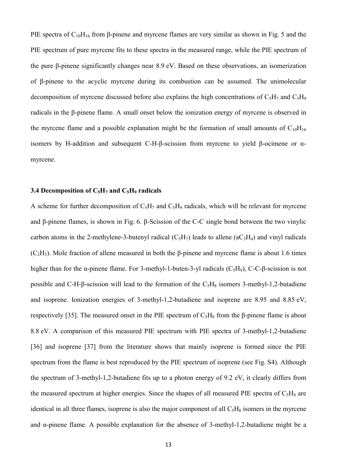PIE spectra of  $C_{10}H_{16}$  from β-pinene and myrcene flames are very similar as shown in Fig. 5 and the PIE spectrum of pure myrcene fits to these spectra in the measured range, while the PIE spectrum of the pure β-pinene significantly changes near 8.9 eV. Based on these observations, an isomerization of β-pinene to the acyclic myrcene during its combustion can be assumed. The unimolecular decomposition of myrcene discussed before also explains the high concentrations of  $C_5H_7$  and  $C_5H_9$ radicals in the β-pinene flame. A small onset below the ionization energy of myrcene is observed in the myrcene flame and a possible explanation might be the formation of small amounts of  $C_{10}H_{16}$ isomers by H-addition and subsequent C-H-β-scission from myrcene to yield β-ocimene or αmyrcene.

#### 3.4 Decomposition of  $C_5H_7$  and  $C_5H_9$  radicals

A scheme for further decomposition of  $C_5H_7$  and  $C_5H_9$  radicals, which will be relevant for myrcene and β-pinene flames, is shown in Fig. 6. β-Scission of the C-C single bond between the two vinylic carbon atoms in the 2-methylene-3-butenyl radical  $(C_5H_7)$  leads to allene (a $C_3H_4$ ) and vinyl radicals  $(C<sub>2</sub>H<sub>3</sub>)$ . Mole fraction of allene measured in both the β-pinene and myrcene flame is about 1.6 times higher than for the  $\alpha$ -pinene flame. For 3-methyl-1-buten-3-yl radicals (C<sub>5</sub>H<sub>9</sub>), C-C-β-scission is not possible and C-H-β-scission will lead to the formation of the  $C_5H_8$  isomers 3-methyl-1,2-butadiene and isoprene. Ionization energies of 3-methyl-1,2-butadiene and isoprene are 8.95 and 8.85 eV, respectively [35]. The measured onset in the PIE spectrum of  $C_5H_8$  from the β-pinene flame is about 8.8 eV. A comparison of this measured PIE spectrum with PIE spectra of 3-methyl-1,2-butadiene [36] and isoprene [37] from the literature shows that mainly isoprene is formed since the PIE spectrum from the flame is best reproduced by the PIE spectrum of isoprene (see Fig. S4). Although the spectrum of 3-methyl-1,2-butadiene fits up to a photon energy of 9.2 eV, it clearly differs from the measured spectrum at higher energies. Since the shapes of all measured PIE spectra of  $C_5H_8$  are identical in all three flames, isoprene is also the major component of all  $C_5H_8$  isomers in the myrcene and α-pinene flame. A possible explanation for the absence of 3-methyl-1,2-butadiene might be a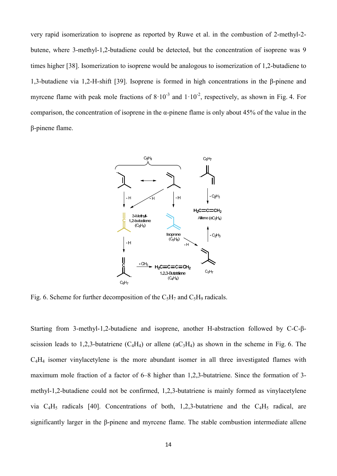very rapid isomerization to isoprene as reported by Ruwe et al. in the combustion of 2-methyl-2 butene, where 3-methyl-1,2-butadiene could be detected, but the concentration of isoprene was 9 times higher [38]. Isomerization to isoprene would be analogous to isomerization of 1,2-butadiene to 1,3-butadiene via 1,2-H-shift [39]. Isoprene is formed in high concentrations in the β-pinene and myrcene flame with peak mole fractions of  $8 \cdot 10^{-3}$  and  $1 \cdot 10^{-2}$ , respectively, as shown in Fig. 4. For comparison, the concentration of isoprene in the  $\alpha$ -pinene flame is only about 45% of the value in the β-pinene flame.



Fig. 6. Scheme for further decomposition of the  $C_5H_7$  and  $C_5H_9$  radicals.

Starting from 3-methyl-1,2-butadiene and isoprene, another H-abstraction followed by C-C-βscission leads to 1,2,3-butatriene  $(C_4H_4)$  or allene  $(aC_3H_4)$  as shown in the scheme in Fig. 6. The C4H4 isomer vinylacetylene is the more abundant isomer in all three investigated flames with maximum mole fraction of a factor of 6–8 higher than 1,2,3-butatriene. Since the formation of 3 methyl-1,2-butadiene could not be confirmed, 1,2,3-butatriene is mainly formed as vinylacetylene via  $C_4H_5$  radicals [40]. Concentrations of both, 1,2,3-butatriene and the  $C_4H_5$  radical, are significantly larger in the β-pinene and myrcene flame. The stable combustion intermediate allene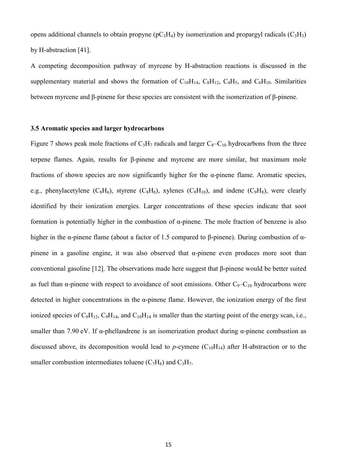opens additional channels to obtain propyne ( $pC_3H_4$ ) by isomerization and propargyl radicals ( $C_3H_3$ ) by H-abstraction [41].

A competing decomposition pathway of myrcene by H-abstraction reactions is discussed in the supplementary material and shows the formation of  $C_{10}H_{14}$ ,  $C_8H_{12}$ ,  $C_4H_5$ , and  $C_6H_{10}$ . Similarities between myrcene and β-pinene for these species are consistent with the isomerization of β-pinene.

## 3.5 Aromatic species and larger hydrocarbons

Figure 7 shows peak mole fractions of  $C_3H_7$  radicals and larger  $C_8-C_{10}$  hydrocarbons from the three terpene flames. Again, results for β-pinene and myrcene are more similar, but maximum mole fractions of shown species are now significantly higher for the  $\alpha$ -pinene flame. Aromatic species, e.g., phenylacetylene  $(C_8H_6)$ , styrene  $(C_8H_8)$ , xylenes  $(C_8H_{10})$ , and indene  $(C_9H_8)$ , were clearly identified by their ionization energies. Larger concentrations of these species indicate that soot formation is potentially higher in the combustion of α-pinene. The mole fraction of benzene is also higher in the α-pinene flame (about a factor of 1.5 compared to β-pinene). During combustion of αpinene in a gasoline engine, it was also observed that  $\alpha$ -pinene even produces more soot than conventional gasoline [12]. The observations made here suggest that β-pinene would be better suited as fuel than  $\alpha$ -pinene with respect to avoidance of soot emissions. Other  $C_9 - C_{10}$  hydrocarbons were detected in higher concentrations in the α-pinene flame. However, the ionization energy of the first ionized species of  $C_9H_{12}$ ,  $C_9H_{14}$ , and  $C_{10}H_{14}$  is smaller than the starting point of the energy scan, i.e., smaller than 7.90 eV. If  $\alpha$ -phellandrene is an isomerization product during  $\alpha$ -pinene combustion as discussed above, its decomposition would lead to *p*-cymene  $(C_{10}H_{14})$  after H-abstraction or to the smaller combustion intermediates toluene  $(C_7H_8)$  and  $C_3H_7$ .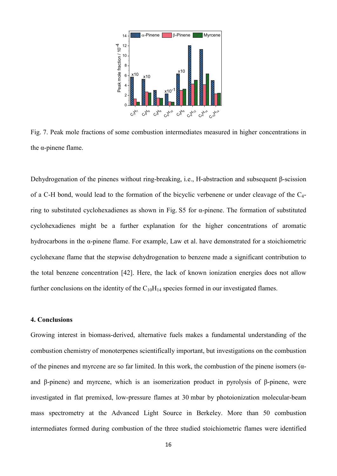

Fig. 7. Peak mole fractions of some combustion intermediates measured in higher concentrations in the α-pinene flame.

Dehydrogenation of the pinenes without ring-breaking, i.e., H-abstraction and subsequent β-scission of a C-H bond, would lead to the formation of the bicyclic verbenene or under cleavage of the C4 ring to substituted cyclohexadienes as shown in Fig. S5 for α-pinene. The formation of substituted cyclohexadienes might be a further explanation for the higher concentrations of aromatic hydrocarbons in the α-pinene flame. For example, Law et al. have demonstrated for a stoichiometric cyclohexane flame that the stepwise dehydrogenation to benzene made a significant contribution to the total benzene concentration [42]. Here, the lack of known ionization energies does not allow further conclusions on the identity of the  $C_{10}H_{14}$  species formed in our investigated flames.

## 4. Conclusions

Growing interest in biomass-derived, alternative fuels makes a fundamental understanding of the combustion chemistry of monoterpenes scientifically important, but investigations on the combustion of the pinenes and myrcene are so far limited. In this work, the combustion of the pinene isomers ( $\alpha$ and β-pinene) and myrcene, which is an isomerization product in pyrolysis of β-pinene, were investigated in flat premixed, low-pressure flames at 30 mbar by photoionization molecular-beam mass spectrometry at the Advanced Light Source in Berkeley. More than 50 combustion intermediates formed during combustion of the three studied stoichiometric flames were identified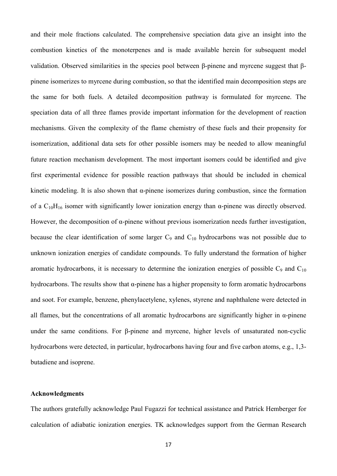and their mole fractions calculated. The comprehensive speciation data give an insight into the combustion kinetics of the monoterpenes and is made available herein for subsequent model validation. Observed similarities in the species pool between β-pinene and myrcene suggest that βpinene isomerizes to myrcene during combustion, so that the identified main decomposition steps are the same for both fuels. A detailed decomposition pathway is formulated for myrcene. The speciation data of all three flames provide important information for the development of reaction mechanisms. Given the complexity of the flame chemistry of these fuels and their propensity for isomerization, additional data sets for other possible isomers may be needed to allow meaningful future reaction mechanism development. The most important isomers could be identified and give first experimental evidence for possible reaction pathways that should be included in chemical kinetic modeling. It is also shown that  $\alpha$ -pinene isomerizes during combustion, since the formation of a  $C_{10}H_{16}$  isomer with significantly lower ionization energy than  $\alpha$ -pinene was directly observed. However, the decomposition of α-pinene without previous isomerization needs further investigation, because the clear identification of some larger  $C_9$  and  $C_{10}$  hydrocarbons was not possible due to unknown ionization energies of candidate compounds. To fully understand the formation of higher aromatic hydrocarbons, it is necessary to determine the ionization energies of possible  $C_9$  and  $C_{10}$ hydrocarbons. The results show that α-pinene has a higher propensity to form aromatic hydrocarbons and soot. For example, benzene, phenylacetylene, xylenes, styrene and naphthalene were detected in all flames, but the concentrations of all aromatic hydrocarbons are significantly higher in  $\alpha$ -pinene under the same conditions. For β-pinene and myrcene, higher levels of unsaturated non-cyclic hydrocarbons were detected, in particular, hydrocarbons having four and five carbon atoms, e.g., 1,3 butadiene and isoprene.

#### Acknowledgments

The authors gratefully acknowledge Paul Fugazzi for technical assistance and Patrick Hemberger for calculation of adiabatic ionization energies. TK acknowledges support from the German Research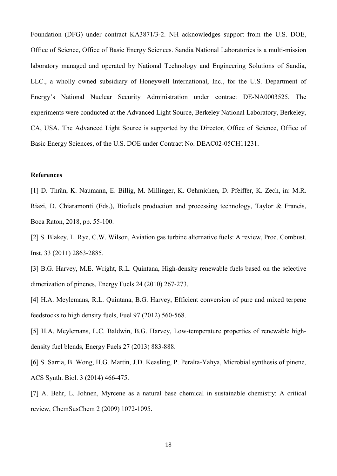Foundation (DFG) under contract KA3871/3-2. NH acknowledges support from the U.S. DOE, Office of Science, Office of Basic Energy Sciences. Sandia National Laboratories is a multi-mission laboratory managed and operated by National Technology and Engineering Solutions of Sandia, LLC., a wholly owned subsidiary of Honeywell International, Inc., for the U.S. Department of Energy's National Nuclear Security Administration under contract DE-NA0003525. The experiments were conducted at the Advanced Light Source, Berkeley National Laboratory, Berkeley, CA, USA. The Advanced Light Source is supported by the Director, Office of Science, Office of Basic Energy Sciences, of the U.S. DOE under Contract No. DEAC02-05CH11231.

#### **References**

[1] D. Thrän, K. Naumann, E. Billig, M. Millinger, K. Oehmichen, D. Pfeiffer, K. Zech, in: M.R. Riazi, D. Chiaramonti (Eds.), Biofuels production and processing technology, Taylor & Francis, Boca Raton, 2018, pp. 55-100.

[2] S. Blakey, L. Rye, C.W. Wilson, Aviation gas turbine alternative fuels: A review, Proc. Combust. Inst. 33 (2011) 2863-2885.

[3] B.G. Harvey, M.E. Wright, R.L. Quintana, High-density renewable fuels based on the selective dimerization of pinenes, Energy Fuels 24 (2010) 267-273.

[4] H.A. Meylemans, R.L. Quintana, B.G. Harvey, Efficient conversion of pure and mixed terpene feedstocks to high density fuels, Fuel 97 (2012) 560-568.

[5] H.A. Meylemans, L.C. Baldwin, B.G. Harvey, Low-temperature properties of renewable highdensity fuel blends, Energy Fuels 27 (2013) 883-888.

[6] S. Sarria, B. Wong, H.G. Martin, J.D. Keasling, P. Peralta-Yahya, Microbial synthesis of pinene, ACS Synth. Biol. 3 (2014) 466-475.

[7] A. Behr, L. Johnen, Myrcene as a natural base chemical in sustainable chemistry: A critical review, ChemSusChem 2 (2009) 1072-1095.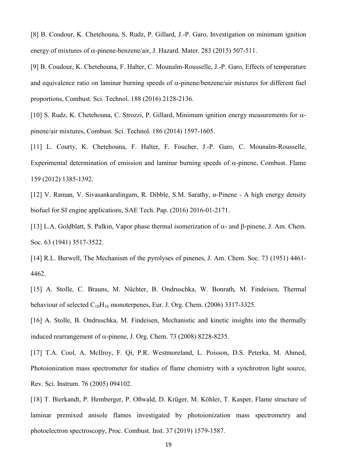[8] B. Coudour, K. Chetehouna, S. Rudz, P. Gillard, J.-P. Garo, Investigation on minimum ignition energy of mixtures of  $\alpha$ -pinene-benzene/air, J. Hazard. Mater. 283 (2015) 507-511.

[9] B. Coudour, K. Chetehouna, F. Halter, C. Mounaïm-Rousselle, J.-P. Garo, Effects of temperature and equivalence ratio on laminar burning speeds of  $\alpha$ -pinene/benzene/air mixtures for different fuel proportions, Combust. Sci. Technol. 188 (2016) 2128-2136.

[10] S. Rudz, K. Chetehouna, C. Strozzi, P. Gillard, Minimum ignition energy measurements for  $\alpha$ pinene/air mixtures, Combust. Sci. Technol. 186 (2014) 1597-1605.

[11] L. Courty, K. Chetehouna, F. Halter, F. Foucher, J.-P. Garo, C. Mounaïm-Rousselle, Experimental determination of emission and laminar burning speeds of  $\alpha$ -pinene, Combust. Flame 159 (2012) 1385-1392.

[12] V. Raman, V. Sivasankaralingam, R. Dibble, S.M. Sarathy, α-Pinene - A high energy density biofuel for SI engine applications, SAE Tech. Pap. (2016) 2016-01-2171.

[13] L.A. Goldblatt, S. Palkin, Vapor phase thermal isomerization of  $\alpha$ - and  $\beta$ -pinene, J. Am. Chem. Soc. 63 (1941) 3517-3522.

[14] R.L. Burwell, The Mechanism of the pyrolyses of pinenes, J. Am. Chem. Soc. 73 (1951) 4461- 4462.

[15] A. Stolle, C. Brauns, M. Nüchter, B. Ondruschka, W. Bonrath, M. Findeisen, Thermal behaviour of selected  $C_{10}H_{16}$  monoterpenes, Eur. J. Org. Chem. (2006) 3317-3325.

[16] A. Stolle, B. Ondruschka, M. Findeisen, Mechanistic and kinetic insights into the thermally induced rearrangement of  $\alpha$ -pinene, J. Org. Chem. 73 (2008) 8228-8235.

[17] T.A. Cool, A. McIlroy, F. Oi, P.R. Westmoreland, L. Poisson, D.S. Peterka, M. Ahmed, Photoionization mass spectrometer for studies of flame chemistry with a synchrotron light source, Rev. Sci. Instrum. 76 (2005) 094102.

[18] T. Bierkandt, P. Hemberger, P. Oßwald, D. Krüger, M. Köhler, T. Kasper, Flame structure of laminar premixed anisole flames investigated by photoionization mass spectrometry and photoelectron spectroscopy, Proc. Combust. Inst. 37 (2019) 1579-1587.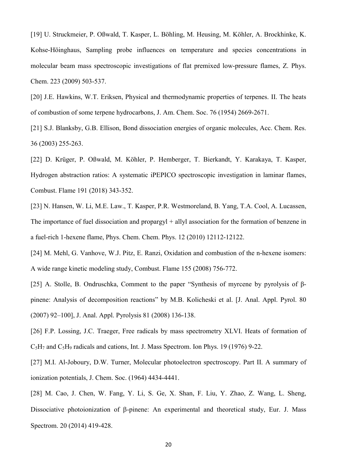[19] U. Struckmeier, P. Oßwald, T. Kasper, L. Böhling, M. Heusing, M. Köhler, A. Brockhinke, K. Kohse-Höinghaus, Sampling probe influences on temperature and species concentrations in molecular beam mass spectroscopic investigations of flat premixed low-pressure flames, Z. Phys. Chem. 223 (2009) 503-537.

[20] J.E. Hawkins, W.T. Eriksen, Physical and thermodynamic properties of terpenes. II. The heats of combustion of some terpene hydrocarbons, J. Am. Chem. Soc. 76 (1954) 2669-2671.

[21] S.J. Blanksby, G.B. Ellison, Bond dissociation energies of organic molecules, Acc. Chem. Res. 36 (2003) 255-263.

[22] D. Krüger, P. Oßwald, M. Köhler, P. Hemberger, T. Bierkandt, Y. Karakaya, T. Kasper, Hydrogen abstraction ratios: A systematic iPEPICO spectroscopic investigation in laminar flames, Combust. Flame 191 (2018) 343-352.

[23] N. Hansen, W. Li, M.E. Law., T. Kasper, P.R. Westmoreland, B. Yang, T.A. Cool, A. Lucassen, The importance of fuel dissociation and propargy t + allyl association for the formation of benzene in a fuel-rich 1-hexene flame, Phys. Chem. Chem. Phys. 12 (2010) 12112-12122.

[24] M. Mehl, G. Vanhove, W.J. Pitz, E. Ranzi, Oxidation and combustion of the n-hexene isomers: A wide range kinetic modeling study, Combust. Flame 155 (2008) 756-772.

[25] A. Stolle, B. Ondruschka, Comment to the paper "Synthesis of myrcene by pyrolysis of βpinene: Analysis of decomposition reactions" by M.B. Kolicheski et al. [J. Anal. Appl. Pyrol. 80 (2007) 92–100], J. Anal. Appl. Pyrolysis 81 (2008) 136-138.

[26] F.P. Lossing, J.C. Traeger, Free radicals by mass spectrometry XLVI. Heats of formation of  $C_5H_7$  and  $C_5H_9$  radicals and cations, Int. J. Mass Spectrom. Ion Phys. 19 (1976) 9-22.

[27] M.I. Al-Joboury, D.W. Turner, Molecular photoelectron spectroscopy. Part II. A summary of ionization potentials, J. Chem. Soc. (1964) 4434-4441.

[28] M. Cao, J. Chen, W. Fang, Y. Li, S. Ge, X. Shan, F. Liu, Y. Zhao, Z. Wang, L. Sheng, Dissociative photoionization of B-pinene: An experimental and theoretical study, Eur. J. Mass Spectrom. 20 (2014) 419-428.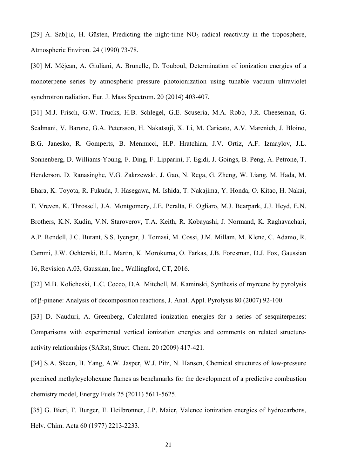[29] A. Sabljic, H. Güsten, Predicting the night-time  $NO<sub>3</sub>$  radical reactivity in the troposphere, Atmospheric Environ. 24 (1990) 73-78.

[30] M. Méjean, A. Giuliani, A. Brunelle, D. Touboul, Determination of ionization energies of a monoterpene series by atmospheric pressure photoionization using tunable vacuum ultraviolet synchrotron radiation, Eur. J. Mass Spectrom. 20 (2014) 403-407.

[31] M.J. Frisch, G.W. Trucks, H.B. Schlegel, G.E. Scuseria, M.A. Robb, J.R. Cheeseman, G. Scalmani, V. Barone, G.A. Petersson, H. Nakatsuji, X. Li, M. Caricato, A.V. Marenich, J. Bloino, B.G. Janesko, R. Gomperts, B. Mennucci, H.P. Hratchian, J.V. Ortiz, A.F. Izmaylov, J.L. Sonnenberg, D. Williams-Young, F. Ding, F. Lipparini, F. Egidi, J. Goings, B. Peng, A. Petrone, T. Henderson, D. Ranasinghe, V.G. Zakrzewski, J. Gao, N. Rega, G. Zheng, W. Liang, M. Hada, M. Ehara, K. Toyota, R. Fukuda, J. Hasegawa, M. Ishida, T. Nakajima, Y. Honda, O. Kitao, H. Nakai, T. Vreven, K. Throssell, J.A. Montgomery, J.E. Peralta, F. Ogliaro, M.J. Bearpark, J.J. Heyd, E.N. Brothers, K.N. Kudin, V.N. Staroverov, T.A. Keith, R. Kobayashi, J. Normand, K. Raghavachari, A.P. Rendell, J.C. Burant, S.S. Iyengar, J. Tomasi, M. Cossi, J.M. Millam, M. Klene, C. Adamo, R. Cammi, J.W. Ochterski, R.L. Martin, K. Morokuma, O. Farkas, J.B. Foresman, D.J. Fox, Gaussian 16, Revision A.03, Gaussian, Inc., Wallingford, CT, 2016.

[32] M.B. Kolicheski, L.C. Cocco, D.A. Mitchell, M. Kaminski, Synthesis of myrcene by pyrolysis of b-pinene: Analysis of decomposition reactions, J. Anal. Appl. Pyrolysis 80 (2007) 92-100.

[33] D. Nauduri, A. Greenberg, Calculated ionization energies for a series of sesquiterpenes: Comparisons with experimental vertical ionization energies and comments on related structureactivity relationships (SARs), Struct. Chem. 20 (2009) 417-421.

[34] S.A. Skeen, B. Yang, A.W. Jasper, W.J. Pitz, N. Hansen, Chemical structures of low-pressure premixed methylcyclohexane flames as benchmarks for the development of a predictive combustion chemistry model, Energy Fuels 25 (2011) 5611-5625.

[35] G. Bieri, F. Burger, E. Heilbronner, J.P. Maier, Valence ionization energies of hydrocarbons, Helv. Chim. Acta 60 (1977) 2213-2233.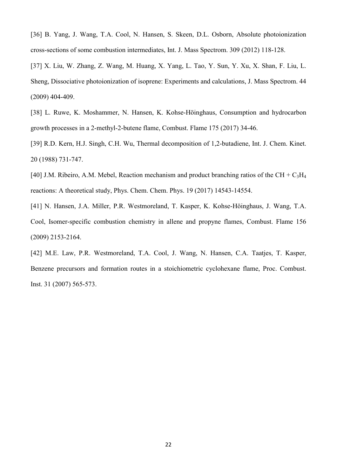[36] B. Yang, J. Wang, T.A. Cool, N. Hansen, S. Skeen, D.L. Osborn, Absolute photoionization cross-sections of some combustion intermediates, Int. J. Mass Spectrom. 309 (2012) 118-128.

[37] X. Liu, W. Zhang, Z. Wang, M. Huang, X. Yang, L. Tao, Y. Sun, Y. Xu, X. Shan, F. Liu, L. Sheng, Dissociative photoionization of isoprene: Experiments and calculations, J. Mass Spectrom. 44 (2009) 404-409.

[38] L. Ruwe, K. Moshammer, N. Hansen, K. Kohse-Höinghaus, Consumption and hydrocarbon growth processes in a 2-methyl-2-butene flame, Combust. Flame 175 (2017) 34-46.

[39] R.D. Kern, H.J. Singh, C.H. Wu, Thermal decomposition of 1,2-butadiene, Int. J. Chem. Kinet. 20 (1988) 731-747.

[40] J.M. Ribeiro, A.M. Mebel, Reaction mechanism and product branching ratios of the CH + C<sub>3</sub>H<sub>4</sub> reactions: A theoretical study, Phys. Chem. Chem. Phys. 19 (2017) 14543-14554.

[41] N. Hansen, J.A. Miller, P.R. Westmoreland, T. Kasper, K. Kohse-Höinghaus, J. Wang, T.A. Cool, Isomer-specific combustion chemistry in allene and propyne flames, Combust. Flame 156 (2009) 2153-2164.

[42] M.E. Law, P.R. Westmoreland, T.A. Cool, J. Wang, N. Hansen, C.A. Taatjes, T. Kasper, Benzene precursors and formation routes in a stoichiometric cyclohexane flame, Proc. Combust. Inst. 31 (2007) 565-573.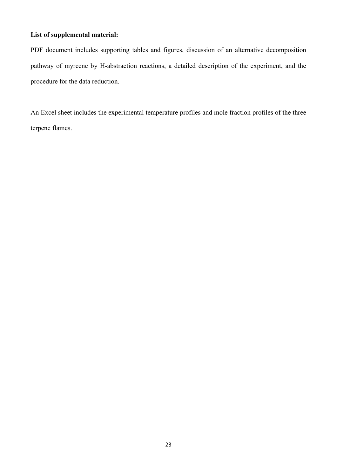# List of supplemental material:

PDF document includes supporting tables and figures, discussion of an alternative decomposition pathway of myrcene by H-abstraction reactions, a detailed description of the experiment, and the procedure for the data reduction.

An Excel sheet includes the experimental temperature profiles and mole fraction profiles of the three terpene flames.